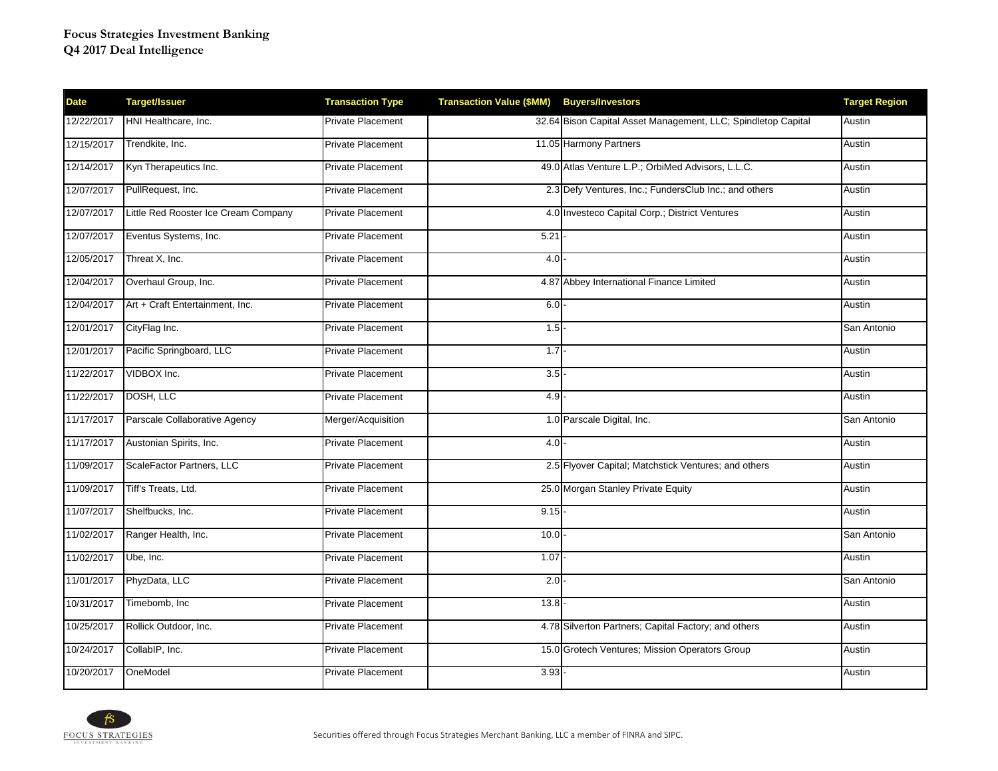| <b>Date</b> | <b>Target/Issuer</b>                 | <b>Transaction Type</b>  | <b>Transaction Value (\$MM)</b> | <b>Buyers/Investors</b>                                       | <b>Target Region</b> |
|-------------|--------------------------------------|--------------------------|---------------------------------|---------------------------------------------------------------|----------------------|
| 12/22/2017  | HNI Healthcare, Inc.                 | <b>Private Placement</b> |                                 | 32.64 Bison Capital Asset Management, LLC; Spindletop Capital | Austin               |
| 12/15/2017  | Trendkite, Inc.                      | <b>Private Placement</b> |                                 | 11.05 Harmony Partners                                        | Austin               |
| 12/14/2017  | Kyn Therapeutics Inc.                | <b>Private Placement</b> |                                 | 49.0 Atlas Venture L.P.; OrbiMed Advisors, L.L.C.             | Austin               |
| 12/07/2017  | PullRequest, Inc.                    | <b>Private Placement</b> |                                 | 2.3 Defy Ventures, Inc.; FundersClub Inc.; and others         | Austin               |
| 12/07/2017  | Little Red Rooster Ice Cream Company | <b>Private Placement</b> |                                 | 4.0 Investeco Capital Corp.; District Ventures                | Austin               |
| 12/07/2017  | Eventus Systems, Inc.                | <b>Private Placement</b> | 5.21                            |                                                               | Austin               |
| 12/05/2017  | Threat X, Inc.                       | <b>Private Placement</b> | 4.0                             |                                                               | Austin               |
| 12/04/2017  | Overhaul Group, Inc.                 | <b>Private Placement</b> |                                 | 4.87 Abbey International Finance Limited                      | Austin               |
| 12/04/2017  | Art + Craft Entertainment, Inc.      | <b>Private Placement</b> | 6.0                             |                                                               | Austin               |
| 12/01/2017  | CityFlag Inc.                        | Private Placement        | 1.5                             |                                                               | San Antonio          |
| 12/01/2017  | Pacific Springboard, LLC             | <b>Private Placement</b> | 1.7                             |                                                               | Austin               |
| 11/22/2017  | VIDBOX Inc.                          | <b>Private Placement</b> | 3.5                             |                                                               | Austin               |
| 11/22/2017  | DOSH, LLC                            | <b>Private Placement</b> | 4.9                             |                                                               | Austin               |
| 11/17/2017  | Parscale Collaborative Agency        | Merger/Acquisition       |                                 | 1.0 Parscale Digital, Inc.                                    | San Antonio          |
| 11/17/2017  | Austonian Spirits, Inc.              | Private Placement        | $4.0 -$                         |                                                               | Austin               |
| 11/09/2017  | ScaleFactor Partners, LLC            | Private Placement        |                                 | 2.5 Flyover Capital; Matchstick Ventures; and others          | Austin               |
| 11/09/2017  | Tiff's Treats, Ltd.                  | <b>Private Placement</b> |                                 | 25.0 Morgan Stanley Private Equity                            | Austin               |
| 11/07/2017  | Shelfbucks, Inc.                     | Private Placement        | 9.15                            |                                                               | Austin               |
| 11/02/2017  | Ranger Health, Inc.                  | <b>Private Placement</b> | 10.0                            |                                                               | San Antonio          |
| 11/02/2017  | Ube, Inc.                            | <b>Private Placement</b> | 1.07                            |                                                               | Austin               |
| 11/01/2017  | PhyzData, LLC                        | <b>Private Placement</b> | 2.0                             |                                                               | San Antonio          |
| 10/31/2017  | Timebomb, Inc                        | <b>Private Placement</b> | 13.8                            |                                                               | Austin               |
| 10/25/2017  | Rollick Outdoor, Inc.                | <b>Private Placement</b> |                                 | 4.78 Silverton Partners; Capital Factory; and others          | Austin               |
| 10/24/2017  | CollabIP, Inc.                       | Private Placement        |                                 | 15.0 Grotech Ventures; Mission Operators Group                | Austin               |
| 10/20/2017  | OneModel                             | <b>Private Placement</b> | 3.93                            |                                                               | Austin               |